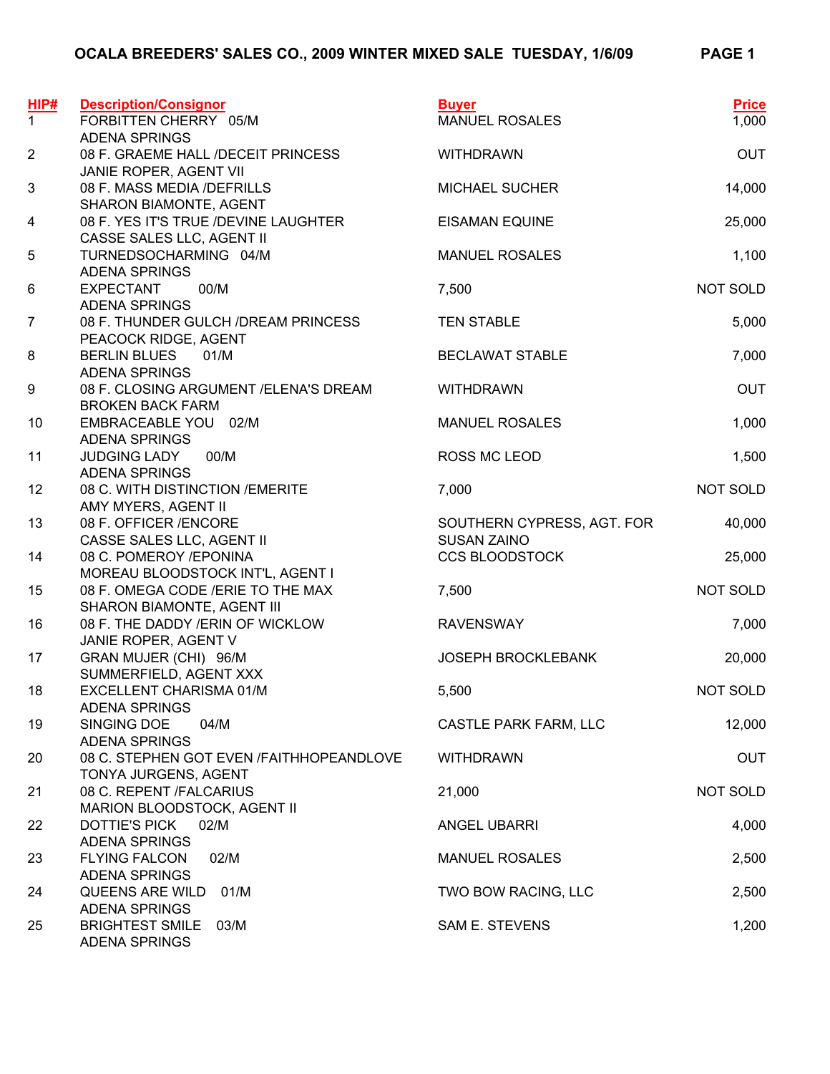| HIP#           | <b>Description/Consignor</b>                                     | <b>Buyer</b>                 | <b>Price</b> |
|----------------|------------------------------------------------------------------|------------------------------|--------------|
| $\mathbf{1}$   | FORBITTEN CHERRY 05/M                                            | <b>MANUEL ROSALES</b>        | 1,000        |
| $\overline{2}$ | <b>ADENA SPRINGS</b><br>08 F. GRAEME HALL /DECEIT PRINCESS       | <b>WITHDRAWN</b>             | <b>OUT</b>   |
|                | JANIE ROPER, AGENT VII                                           |                              |              |
| $\mathfrak{S}$ | 08 F. MASS MEDIA /DEFRILLS                                       | <b>MICHAEL SUCHER</b>        | 14,000       |
|                | SHARON BIAMONTE, AGENT                                           |                              |              |
| 4              | 08 F. YES IT'S TRUE /DEVINE LAUGHTER                             | <b>EISAMAN EQUINE</b>        | 25,000       |
| 5              | CASSE SALES LLC, AGENT II<br>TURNEDSOCHARMING 04/M               | <b>MANUEL ROSALES</b>        | 1,100        |
|                | <b>ADENA SPRINGS</b>                                             |                              |              |
| 6              | <b>EXPECTANT</b><br>00/M                                         | 7,500                        | NOT SOLD     |
|                | <b>ADENA SPRINGS</b>                                             |                              |              |
| $\overline{7}$ | 08 F. THUNDER GULCH / DREAM PRINCESS                             | <b>TEN STABLE</b>            | 5,000        |
|                | PEACOCK RIDGE, AGENT                                             |                              |              |
| 8              | <b>BERLIN BLUES</b><br>01/M<br><b>ADENA SPRINGS</b>              | <b>BECLAWAT STABLE</b>       | 7,000        |
| 9              | 08 F. CLOSING ARGUMENT / ELENA'S DREAM                           | <b>WITHDRAWN</b>             | <b>OUT</b>   |
|                | <b>BROKEN BACK FARM</b>                                          |                              |              |
| 10             | EMBRACEABLE YOU 02/M                                             | <b>MANUEL ROSALES</b>        | 1,000        |
|                | <b>ADENA SPRINGS</b>                                             |                              |              |
| 11             | 00/M<br><b>JUDGING LADY</b>                                      | ROSS MC LEOD                 | 1,500        |
| 12             | <b>ADENA SPRINGS</b><br>08 C. WITH DISTINCTION / EMERITE         | 7,000                        | NOT SOLD     |
|                | AMY MYERS, AGENT II                                              |                              |              |
| 13             | 08 F. OFFICER / ENCORE                                           | SOUTHERN CYPRESS, AGT. FOR   | 40,000       |
|                | CASSE SALES LLC, AGENT II                                        | <b>SUSAN ZAINO</b>           |              |
| 14             | 08 C. POMEROY /EPONINA                                           | <b>CCS BLOODSTOCK</b>        | 25,000       |
|                | MOREAU BLOODSTOCK INT'L, AGENT I                                 |                              |              |
| 15             | 08 F. OMEGA CODE / ERIE TO THE MAX<br>SHARON BIAMONTE, AGENT III | 7,500                        | NOT SOLD     |
| 16             | 08 F. THE DADDY / ERIN OF WICKLOW                                | <b>RAVENSWAY</b>             | 7,000        |
|                | JANIE ROPER, AGENT V                                             |                              |              |
| 17             | GRAN MUJER (CHI) 96/M                                            | <b>JOSEPH BROCKLEBANK</b>    | 20,000       |
|                | SUMMERFIELD, AGENT XXX                                           |                              |              |
| 18             | EXCELLENT CHARISMA 01/M                                          | 5,500                        | NOT SOLD     |
| 19             | <b>ADENA SPRINGS</b><br>SINGING DOE<br>04/M                      | <b>CASTLE PARK FARM, LLC</b> | 12,000       |
|                | <b>ADENA SPRINGS</b>                                             |                              |              |
| 20             | 08 C. STEPHEN GOT EVEN /FAITHHOPEANDLOVE                         | <b>WITHDRAWN</b>             | <b>OUT</b>   |
|                | TONYA JURGENS, AGENT                                             |                              |              |
| 21             | 08 C. REPENT /FALCARIUS                                          | 21,000                       | NOT SOLD     |
|                | MARION BLOODSTOCK, AGENT II<br><b>DOTTIE'S PICK</b><br>02/M      | <b>ANGEL UBARRI</b>          |              |
| 22             | <b>ADENA SPRINGS</b>                                             |                              | 4,000        |
| 23             | <b>FLYING FALCON</b><br>02/M                                     | <b>MANUEL ROSALES</b>        | 2,500        |
|                | <b>ADENA SPRINGS</b>                                             |                              |              |
| 24             | QUEENS ARE WILD<br>01/M                                          | TWO BOW RACING, LLC          | 2,500        |
|                | <b>ADENA SPRINGS</b>                                             |                              |              |
| 25             | <b>BRIGHTEST SMILE</b><br>03/M<br><b>ADENA SPRINGS</b>           | SAM E. STEVENS               | 1,200        |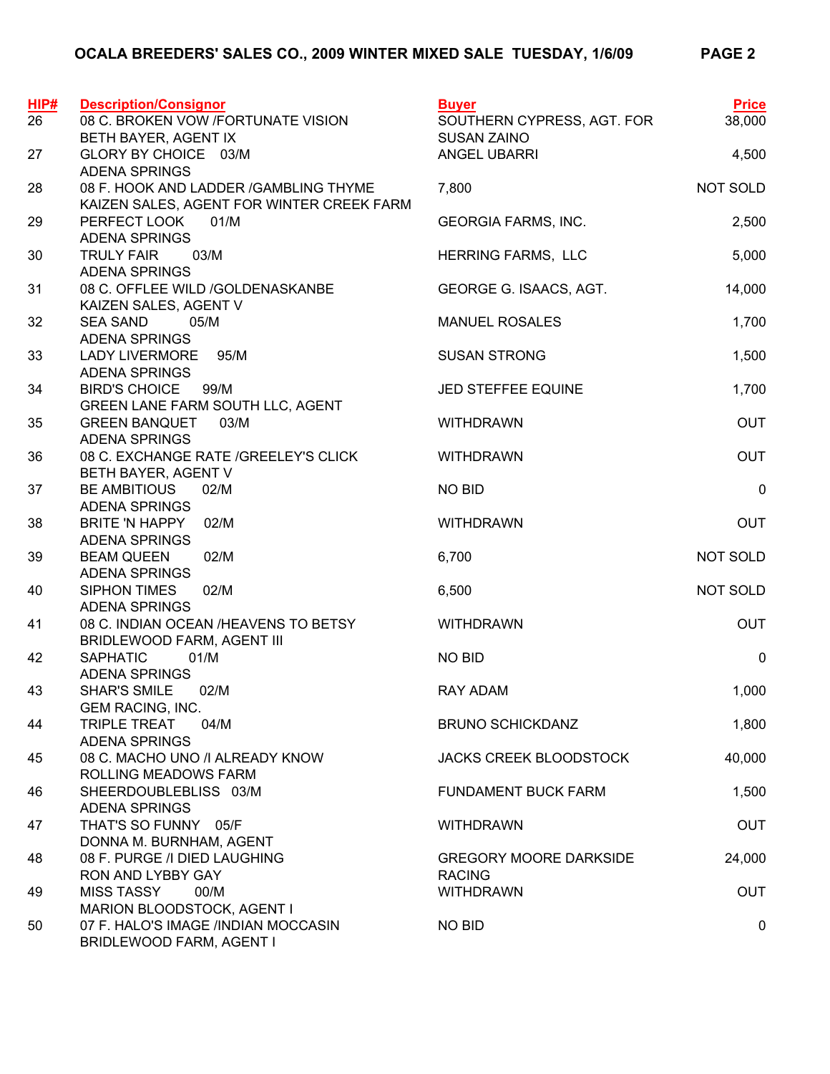| HIP# | <b>Description/Consignor</b>                                                        | <b>Buyer</b>                                   | <b>Price</b> |
|------|-------------------------------------------------------------------------------------|------------------------------------------------|--------------|
| 26   | 08 C. BROKEN VOW /FORTUNATE VISION                                                  | SOUTHERN CYPRESS, AGT. FOR                     | 38,000       |
|      | BETH BAYER, AGENT IX                                                                | <b>SUSAN ZAINO</b>                             |              |
| 27   | GLORY BY CHOICE 03/M<br><b>ADENA SPRINGS</b>                                        | ANGEL UBARRI                                   | 4,500        |
| 28   | 08 F. HOOK AND LADDER / GAMBLING THYME<br>KAIZEN SALES, AGENT FOR WINTER CREEK FARM | 7,800                                          | NOT SOLD     |
| 29   | PERFECT LOOK<br>01/M<br><b>ADENA SPRINGS</b>                                        | <b>GEORGIA FARMS, INC.</b>                     | 2,500        |
| 30   | 03/M<br><b>TRULY FAIR</b><br><b>ADENA SPRINGS</b>                                   | HERRING FARMS, LLC                             | 5,000        |
| 31   | 08 C. OFFLEE WILD /GOLDENASKANBE<br>KAIZEN SALES, AGENT V                           | GEORGE G. ISAACS, AGT.                         | 14,000       |
| 32   | <b>SEA SAND</b><br>05/M<br><b>ADENA SPRINGS</b>                                     | <b>MANUEL ROSALES</b>                          | 1,700        |
| 33   | <b>LADY LIVERMORE</b><br>95/M<br><b>ADENA SPRINGS</b>                               | <b>SUSAN STRONG</b>                            | 1,500        |
| 34   | <b>BIRD'S CHOICE</b><br>99/M<br>GREEN LANE FARM SOUTH LLC, AGENT                    | JED STEFFEE EQUINE                             | 1,700        |
| 35   | <b>GREEN BANQUET</b><br>03/M<br><b>ADENA SPRINGS</b>                                | <b>WITHDRAWN</b>                               | <b>OUT</b>   |
| 36   | 08 C. EXCHANGE RATE / GREELEY'S CLICK<br>BETH BAYER, AGENT V                        | <b>WITHDRAWN</b>                               | <b>OUT</b>   |
| 37   | <b>BE AMBITIOUS</b><br>02/M<br><b>ADENA SPRINGS</b>                                 | NO BID                                         | $\pmb{0}$    |
| 38   | BRITE 'N HAPPY<br>02/M<br><b>ADENA SPRINGS</b>                                      | <b>WITHDRAWN</b>                               | <b>OUT</b>   |
| 39   | <b>BEAM QUEEN</b><br>02/M<br><b>ADENA SPRINGS</b>                                   | 6,700                                          | NOT SOLD     |
| 40   | <b>SIPHON TIMES</b><br>02/M<br><b>ADENA SPRINGS</b>                                 | 6,500                                          | NOT SOLD     |
| 41   | 08 C. INDIAN OCEAN /HEAVENS TO BETSY<br>BRIDLEWOOD FARM, AGENT III                  | <b>WITHDRAWN</b>                               | <b>OUT</b>   |
| 42   | <b>SAPHATIC</b><br>01/M<br><b>ADENA SPRINGS</b>                                     | <b>NO BID</b>                                  | $\mathbf 0$  |
| 43   | <b>SHAR'S SMILE</b><br>02/M<br>GEM RACING, INC.                                     | <b>RAY ADAM</b>                                | 1,000        |
| 44   | <b>TRIPLE TREAT</b><br>04/M<br><b>ADENA SPRINGS</b>                                 | <b>BRUNO SCHICKDANZ</b>                        | 1,800        |
| 45   | 08 C. MACHO UNO / ALREADY KNOW<br>ROLLING MEADOWS FARM                              | <b>JACKS CREEK BLOODSTOCK</b>                  | 40,000       |
| 46   | SHEERDOUBLEBLISS 03/M<br><b>ADENA SPRINGS</b>                                       | <b>FUNDAMENT BUCK FARM</b>                     | 1,500        |
| 47   | THAT'S SO FUNNY 05/F<br>DONNA M. BURNHAM, AGENT                                     | <b>WITHDRAWN</b>                               | <b>OUT</b>   |
| 48   | 08 F. PURGE / IDIED LAUGHING<br>RON AND LYBBY GAY                                   | <b>GREGORY MOORE DARKSIDE</b><br><b>RACING</b> | 24,000       |
| 49   | <b>MISS TASSY</b><br>00/M<br>MARION BLOODSTOCK, AGENT I                             | <b>WITHDRAWN</b>                               | <b>OUT</b>   |
| 50   | 07 F. HALO'S IMAGE /INDIAN MOCCASIN<br><b>BRIDLEWOOD FARM, AGENT I</b>              | <b>NO BID</b>                                  | 0            |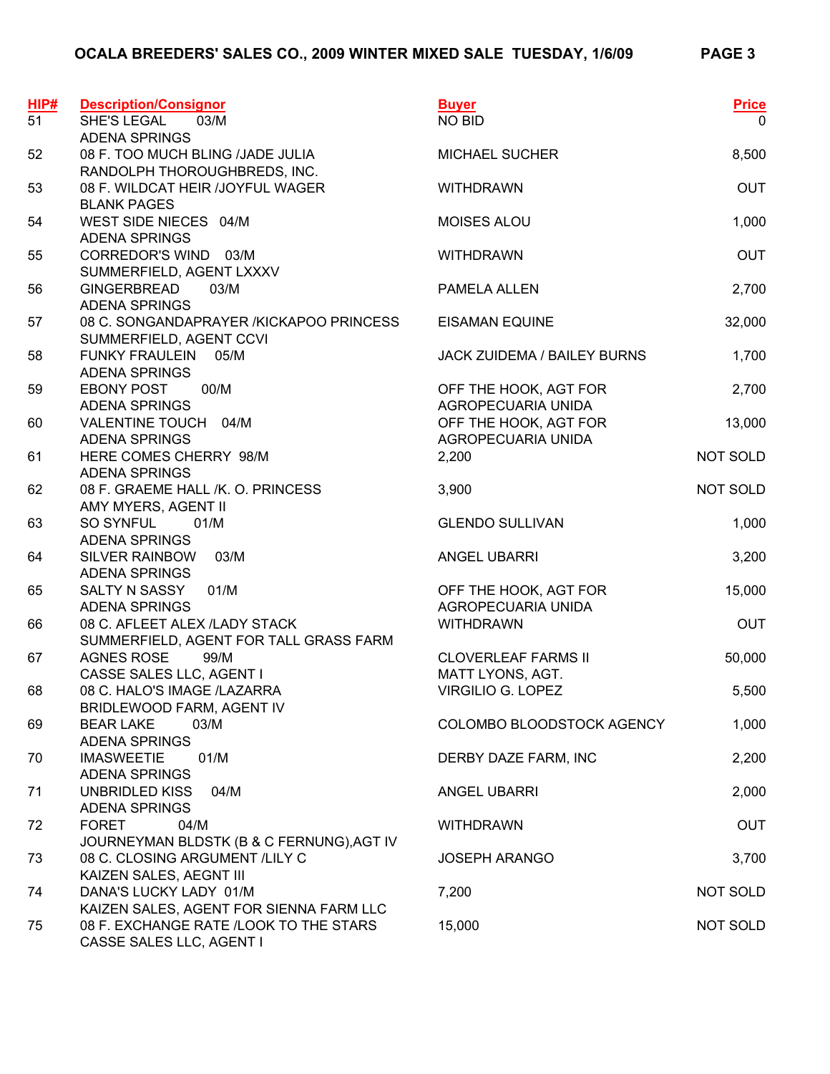| HIP# | <b>Description/Consignor</b>                              | <b>Buyer</b>                          | <b>Price</b> |
|------|-----------------------------------------------------------|---------------------------------------|--------------|
| 51   | SHE'S LEGAL<br>03/M<br><b>ADENA SPRINGS</b>               | NO BID                                | $\mathbf{0}$ |
| 52   | 08 F. TOO MUCH BLING /JADE JULIA                          | <b>MICHAEL SUCHER</b>                 | 8,500        |
|      | RANDOLPH THOROUGHBREDS, INC.                              |                                       |              |
| 53   | 08 F. WILDCAT HEIR /JOYFUL WAGER                          | <b>WITHDRAWN</b>                      | <b>OUT</b>   |
|      | <b>BLANK PAGES</b>                                        |                                       |              |
| 54   | WEST SIDE NIECES 04/M                                     | MOISES ALOU                           | 1,000        |
|      | <b>ADENA SPRINGS</b>                                      |                                       |              |
| 55   | CORREDOR'S WIND 03/M                                      | <b>WITHDRAWN</b>                      | <b>OUT</b>   |
|      | SUMMERFIELD, AGENT LXXXV                                  |                                       |              |
| 56   | <b>GINGERBREAD</b><br>03/M<br><b>ADENA SPRINGS</b>        | PAMELA ALLEN                          | 2,700        |
| 57   | 08 C. SONGANDAPRAYER / KICKAPOO PRINCESS                  | <b>EISAMAN EQUINE</b>                 | 32,000       |
|      | SUMMERFIELD, AGENT CCVI                                   |                                       |              |
| 58   | FUNKY FRAULEIN<br>05/M                                    | <b>JACK ZUIDEMA / BAILEY BURNS</b>    | 1,700        |
|      | <b>ADENA SPRINGS</b>                                      |                                       |              |
| 59   | 00/M<br><b>EBONY POST</b>                                 | OFF THE HOOK, AGT FOR                 | 2,700        |
|      | <b>ADENA SPRINGS</b>                                      | AGROPECUARIA UNIDA                    |              |
| 60   | VALENTINE TOUCH 04/M                                      | OFF THE HOOK, AGT FOR                 | 13,000       |
|      | <b>ADENA SPRINGS</b>                                      | AGROPECUARIA UNIDA                    |              |
| 61   | HERE COMES CHERRY 98/M                                    | 2,200                                 | NOT SOLD     |
|      | <b>ADENA SPRINGS</b>                                      |                                       |              |
| 62   | 08 F. GRAEME HALL /K. O. PRINCESS<br>AMY MYERS, AGENT II  | 3,900                                 | NOT SOLD     |
| 63   | <b>SO SYNFUL</b><br>01/M                                  | <b>GLENDO SULLIVAN</b>                | 1,000        |
|      | <b>ADENA SPRINGS</b>                                      |                                       |              |
| 64   | 03/M<br>SILVER RAINBOW                                    | ANGEL UBARRI                          | 3,200        |
|      | <b>ADENA SPRINGS</b>                                      |                                       |              |
| 65   | SALTY N SASSY<br>01/M                                     | OFF THE HOOK, AGT FOR                 | 15,000       |
|      | <b>ADENA SPRINGS</b>                                      | AGROPECUARIA UNIDA                    |              |
| 66   | 08 C. AFLEET ALEX /LADY STACK                             | <b>WITHDRAWN</b>                      | <b>OUT</b>   |
|      | SUMMERFIELD, AGENT FOR TALL GRASS FARM                    |                                       |              |
| 67   | <b>AGNES ROSE</b><br>99/M                                 | <b>CLOVERLEAF FARMS II</b>            | 50,000       |
| 68   | CASSE SALES LLC, AGENT I<br>08 C. HALO'S IMAGE /LAZARRA   | MATT LYONS, AGT.<br>VIRGILIO G. LOPEZ | 5,500        |
|      | BRIDLEWOOD FARM, AGENT IV                                 |                                       |              |
| 69   | <b>BEAR LAKE</b><br>03/M                                  | COLOMBO BLOODSTOCK AGENCY             | 1,000        |
|      | <b>ADENA SPRINGS</b>                                      |                                       |              |
| 70   | <b>IMASWEETIE</b><br>01/M                                 | DERBY DAZE FARM, INC                  | 2,200        |
|      | <b>ADENA SPRINGS</b>                                      |                                       |              |
| 71   | <b>UNBRIDLED KISS</b><br>04/M                             | <b>ANGEL UBARRI</b>                   | 2,000        |
|      | <b>ADENA SPRINGS</b>                                      |                                       |              |
| 72   | <b>FORET</b><br>04/M                                      | <b>WITHDRAWN</b>                      | <b>OUT</b>   |
|      | JOURNEYMAN BLDSTK (B & C FERNUNG), AGT IV                 |                                       |              |
| 73   | 08 C. CLOSING ARGUMENT /LILY C<br>KAIZEN SALES, AEGNT III | <b>JOSEPH ARANGO</b>                  | 3,700        |
| 74   | DANA'S LUCKY LADY 01/M                                    | 7,200                                 | NOT SOLD     |
|      | KAIZEN SALES, AGENT FOR SIENNA FARM LLC                   |                                       |              |
| 75   | 08 F. EXCHANGE RATE /LOOK TO THE STARS                    | 15,000                                | NOT SOLD     |
|      | CASSE SALES LLC, AGENT I                                  |                                       |              |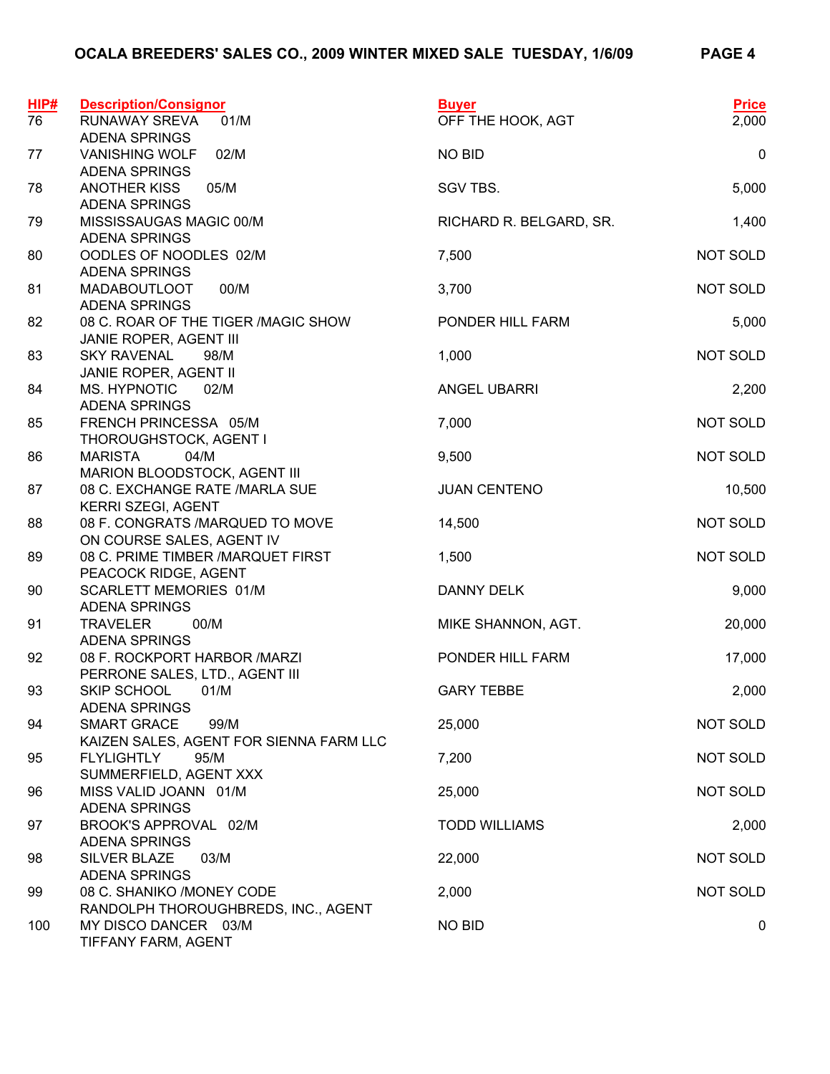| HIP#<br>76 | <b>Description/Consignor</b><br>RUNAWAY SREVA<br>01/M | <b>Buyer</b><br>OFF THE HOOK, AGT | <b>Price</b><br>2,000 |
|------------|-------------------------------------------------------|-----------------------------------|-----------------------|
|            | <b>ADENA SPRINGS</b>                                  |                                   |                       |
| 77         | <b>VANISHING WOLF</b><br>02/M                         | NO BID                            | $\pmb{0}$             |
|            | <b>ADENA SPRINGS</b>                                  |                                   |                       |
| 78         | <b>ANOTHER KISS</b><br>05/M                           | SGV TBS.                          | 5,000                 |
|            | <b>ADENA SPRINGS</b>                                  |                                   |                       |
| 79         | MISSISSAUGAS MAGIC 00/M                               | RICHARD R. BELGARD, SR.           | 1,400                 |
|            | <b>ADENA SPRINGS</b>                                  |                                   |                       |
| 80         | OODLES OF NOODLES 02/M                                | 7,500                             | <b>NOT SOLD</b>       |
|            | <b>ADENA SPRINGS</b>                                  |                                   |                       |
| 81         | 00/M<br><b>MADABOUTLOOT</b>                           | 3,700                             | <b>NOT SOLD</b>       |
|            | <b>ADENA SPRINGS</b>                                  |                                   |                       |
| 82         | 08 C. ROAR OF THE TIGER / MAGIC SHOW                  | PONDER HILL FARM                  | 5,000                 |
|            | JANIE ROPER, AGENT III<br><b>SKY RAVENAL</b><br>98/M  | 1,000                             | <b>NOT SOLD</b>       |
| 83         | JANIE ROPER, AGENT II                                 |                                   |                       |
| 84         | MS. HYPNOTIC<br>02/M                                  | <b>ANGEL UBARRI</b>               | 2,200                 |
|            | <b>ADENA SPRINGS</b>                                  |                                   |                       |
| 85         | FRENCH PRINCESSA 05/M                                 | 7,000                             | <b>NOT SOLD</b>       |
|            | THOROUGHSTOCK, AGENT I                                |                                   |                       |
| 86         | <b>MARISTA</b><br>04/M                                | 9,500                             | NOT SOLD              |
|            | MARION BLOODSTOCK, AGENT III                          |                                   |                       |
| 87         | 08 C. EXCHANGE RATE / MARLA SUE                       | <b>JUAN CENTENO</b>               | 10,500                |
|            | KERRI SZEGI, AGENT                                    |                                   |                       |
| 88         | 08 F. CONGRATS /MARQUED TO MOVE                       | 14,500                            | NOT SOLD              |
|            | ON COURSE SALES, AGENT IV                             |                                   |                       |
| 89         | 08 C. PRIME TIMBER / MARQUET FIRST                    | 1,500                             | NOT SOLD              |
|            | PEACOCK RIDGE, AGENT                                  |                                   |                       |
| 90         | <b>SCARLETT MEMORIES 01/M</b>                         | <b>DANNY DELK</b>                 | 9,000                 |
| 91         | <b>ADENA SPRINGS</b><br><b>TRAVELER</b><br>00/M       | MIKE SHANNON, AGT.                | 20,000                |
|            | <b>ADENA SPRINGS</b>                                  |                                   |                       |
| 92         | 08 F. ROCKPORT HARBOR / MARZI                         | PONDER HILL FARM                  | 17,000                |
|            | PERRONE SALES, LTD., AGENT III                        |                                   |                       |
| 93         | SKIP SCHOOL<br>01/M                                   | <b>GARY TEBBE</b>                 | 2,000                 |
|            | <b>ADENA SPRINGS</b>                                  |                                   |                       |
| 94         | <b>SMART GRACE</b><br>99/M                            | 25,000                            | NOT SOLD              |
|            | KAIZEN SALES, AGENT FOR SIENNA FARM LLC               |                                   |                       |
| 95         | <b>FLYLIGHTLY</b><br>95/M                             | 7,200                             | NOT SOLD              |
|            | SUMMERFIELD, AGENT XXX                                |                                   |                       |
| 96         | MISS VALID JOANN 01/M                                 | 25,000                            | NOT SOLD              |
|            | <b>ADENA SPRINGS</b>                                  |                                   |                       |
| 97         | BROOK'S APPROVAL 02/M<br><b>ADENA SPRINGS</b>         | <b>TODD WILLIAMS</b>              | 2,000                 |
| 98         | <b>SILVER BLAZE</b><br>03/M                           | 22,000                            | NOT SOLD              |
|            | <b>ADENA SPRINGS</b>                                  |                                   |                       |
| 99         | 08 C. SHANIKO /MONEY CODE                             | 2,000                             | NOT SOLD              |
|            | RANDOLPH THOROUGHBREDS, INC., AGENT                   |                                   |                       |
| 100        | MY DISCO DANCER 03/M                                  | <b>NO BID</b>                     | 0                     |
|            | TIFFANY FARM, AGENT                                   |                                   |                       |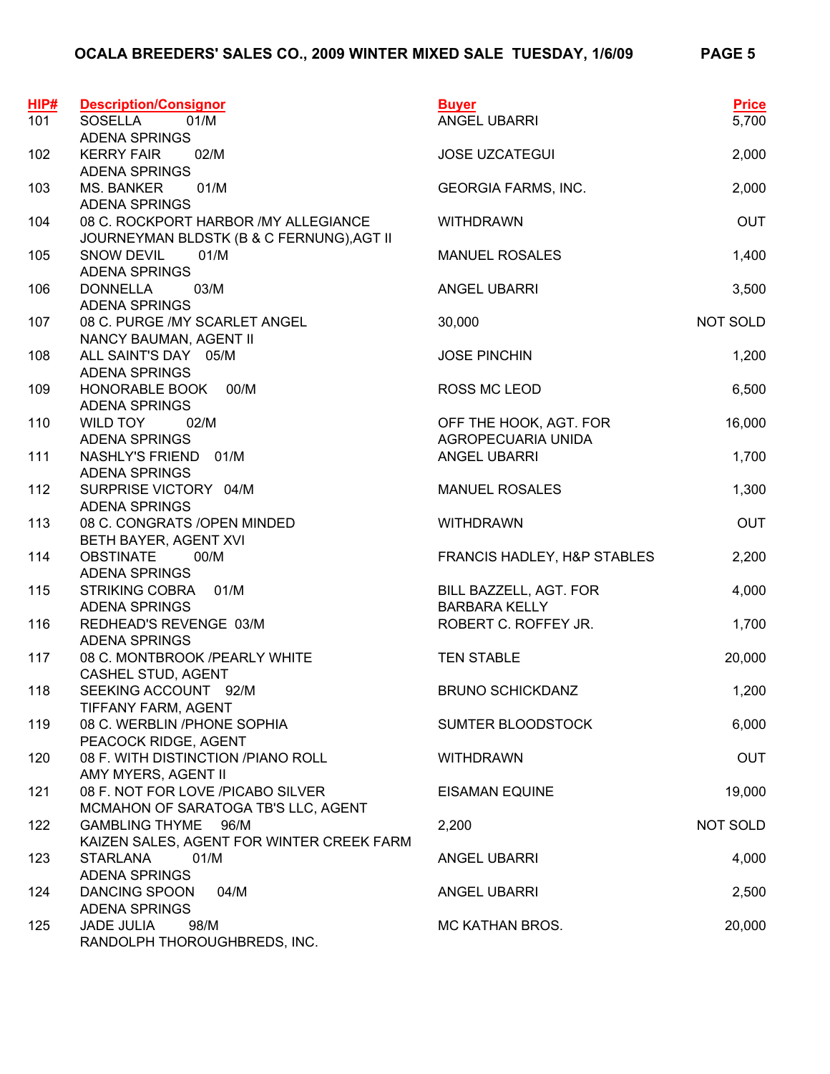| HIP# | <b>Description/Consignor</b>                                             | <b>Buyer</b>                                   | <b>Price</b> |
|------|--------------------------------------------------------------------------|------------------------------------------------|--------------|
| 101  | <b>SOSELLA</b><br>01/M                                                   | ANGEL UBARRI                                   | 5,700        |
| 102  | <b>ADENA SPRINGS</b><br>02/M<br><b>KERRY FAIR</b>                        | <b>JOSE UZCATEGUI</b>                          | 2,000        |
|      | <b>ADENA SPRINGS</b>                                                     |                                                |              |
| 103  | <b>MS. BANKER</b><br>01/M                                                | <b>GEORGIA FARMS, INC.</b>                     | 2,000        |
|      | <b>ADENA SPRINGS</b>                                                     |                                                |              |
| 104  | 08 C. ROCKPORT HARBOR / MY ALLEGIANCE                                    | <b>WITHDRAWN</b>                               | <b>OUT</b>   |
|      | JOURNEYMAN BLDSTK (B & C FERNUNG), AGT II                                |                                                |              |
| 105  | SNOW DEVIL<br>01/M                                                       | <b>MANUEL ROSALES</b>                          | 1,400        |
|      | <b>ADENA SPRINGS</b>                                                     |                                                |              |
| 106  | 03/M<br><b>DONNELLA</b>                                                  | <b>ANGEL UBARRI</b>                            | 3,500        |
|      | <b>ADENA SPRINGS</b>                                                     |                                                |              |
| 107  | 08 C. PURGE /MY SCARLET ANGEL                                            | 30,000                                         | NOT SOLD     |
|      | NANCY BAUMAN, AGENT II                                                   |                                                |              |
| 108  | ALL SAINT'S DAY 05/M                                                     | <b>JOSE PINCHIN</b>                            | 1,200        |
| 109  | <b>ADENA SPRINGS</b><br>HONORABLE BOOK<br>00/M                           | ROSS MC LEOD                                   | 6,500        |
|      | <b>ADENA SPRINGS</b>                                                     |                                                |              |
| 110  | <b>WILD TOY</b><br>02/M                                                  | OFF THE HOOK, AGT. FOR                         | 16,000       |
|      | <b>ADENA SPRINGS</b>                                                     | AGROPECUARIA UNIDA                             |              |
| 111  | NASHLY'S FRIEND 01/M                                                     | ANGEL UBARRI                                   | 1,700        |
|      | <b>ADENA SPRINGS</b>                                                     |                                                |              |
| 112  | SURPRISE VICTORY 04/M                                                    | <b>MANUEL ROSALES</b>                          | 1,300        |
|      | <b>ADENA SPRINGS</b>                                                     |                                                |              |
| 113  | 08 C. CONGRATS / OPEN MINDED                                             | <b>WITHDRAWN</b>                               | <b>OUT</b>   |
|      | BETH BAYER, AGENT XVI                                                    |                                                |              |
| 114  | <b>OBSTINATE</b><br>00/M                                                 | FRANCIS HADLEY, H&P STABLES                    | 2,200        |
|      | <b>ADENA SPRINGS</b>                                                     |                                                |              |
| 115  | <b>STRIKING COBRA</b><br>01/M<br><b>ADENA SPRINGS</b>                    | BILL BAZZELL, AGT. FOR<br><b>BARBARA KELLY</b> | 4,000        |
| 116  | REDHEAD'S REVENGE 03/M                                                   | ROBERT C. ROFFEY JR.                           | 1,700        |
|      | <b>ADENA SPRINGS</b>                                                     |                                                |              |
| 117  | 08 C. MONTBROOK /PEARLY WHITE                                            | <b>TEN STABLE</b>                              | 20,000       |
|      | CASHEL STUD, AGENT                                                       |                                                |              |
| 118  | SEEKING ACCOUNT 92/M                                                     | <b>BRUNO SCHICKDANZ</b>                        | 1,200        |
|      | TIFFANY FARM, AGENT                                                      |                                                |              |
| 119  | 08 C. WERBLIN / PHONE SOPHIA                                             | SUMTER BLOODSTOCK                              | 6,000        |
|      | PEACOCK RIDGE, AGENT                                                     |                                                |              |
| 120  | 08 F. WITH DISTINCTION /PIANO ROLL                                       | <b>WITHDRAWN</b>                               | <b>OUT</b>   |
|      | AMY MYERS, AGENT II                                                      |                                                |              |
| 121  | 08 F. NOT FOR LOVE /PICABO SILVER<br>MCMAHON OF SARATOGA TB'S LLC, AGENT | <b>EISAMAN EQUINE</b>                          | 19,000       |
| 122  | <b>GAMBLING THYME</b><br>96/M                                            | 2,200                                          | NOT SOLD     |
|      | KAIZEN SALES, AGENT FOR WINTER CREEK FARM                                |                                                |              |
| 123  | <b>STARLANA</b><br>01/M                                                  | <b>ANGEL UBARRI</b>                            | 4,000        |
|      | <b>ADENA SPRINGS</b>                                                     |                                                |              |
| 124  | <b>DANCING SPOON</b><br>04/M                                             | ANGEL UBARRI                                   | 2,500        |
|      | <b>ADENA SPRINGS</b>                                                     |                                                |              |
| 125  | <b>JADE JULIA</b><br>98/M                                                | MC KATHAN BROS.                                | 20,000       |
|      | RANDOLPH THOROUGHBREDS, INC.                                             |                                                |              |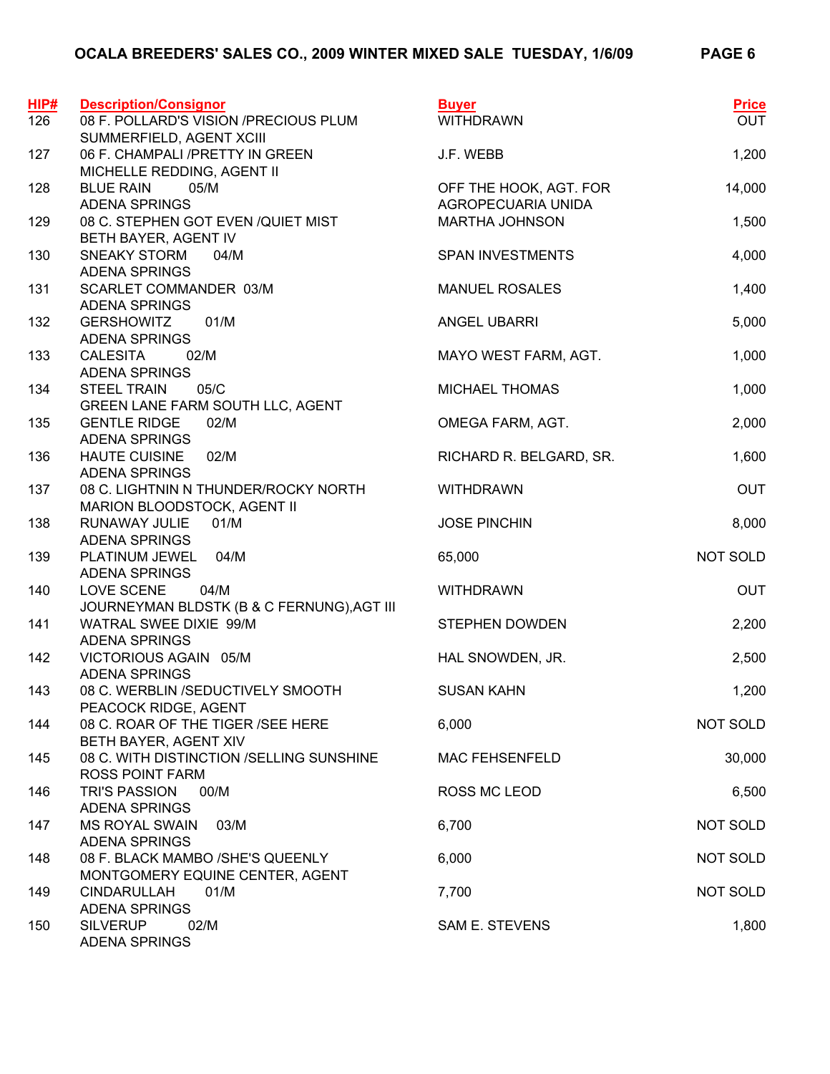| <b>Description/Consignor</b>             | <b>Buyer</b>                                                                                                                                                                                                                                                                                                                                                                                                                                                                                                                                                                                                                                                                                                                                                                                                                                                                                                                                                                                                                                        | <b>Price</b>                                                                                                                                                                                                                                                                                                                                                                      |
|------------------------------------------|-----------------------------------------------------------------------------------------------------------------------------------------------------------------------------------------------------------------------------------------------------------------------------------------------------------------------------------------------------------------------------------------------------------------------------------------------------------------------------------------------------------------------------------------------------------------------------------------------------------------------------------------------------------------------------------------------------------------------------------------------------------------------------------------------------------------------------------------------------------------------------------------------------------------------------------------------------------------------------------------------------------------------------------------------------|-----------------------------------------------------------------------------------------------------------------------------------------------------------------------------------------------------------------------------------------------------------------------------------------------------------------------------------------------------------------------------------|
|                                          |                                                                                                                                                                                                                                                                                                                                                                                                                                                                                                                                                                                                                                                                                                                                                                                                                                                                                                                                                                                                                                                     | <b>OUT</b>                                                                                                                                                                                                                                                                                                                                                                        |
| 06 F. CHAMPALI /PRETTY IN GREEN          | J.F. WEBB                                                                                                                                                                                                                                                                                                                                                                                                                                                                                                                                                                                                                                                                                                                                                                                                                                                                                                                                                                                                                                           | 1,200                                                                                                                                                                                                                                                                                                                                                                             |
|                                          |                                                                                                                                                                                                                                                                                                                                                                                                                                                                                                                                                                                                                                                                                                                                                                                                                                                                                                                                                                                                                                                     |                                                                                                                                                                                                                                                                                                                                                                                   |
|                                          |                                                                                                                                                                                                                                                                                                                                                                                                                                                                                                                                                                                                                                                                                                                                                                                                                                                                                                                                                                                                                                                     | 14,000                                                                                                                                                                                                                                                                                                                                                                            |
|                                          |                                                                                                                                                                                                                                                                                                                                                                                                                                                                                                                                                                                                                                                                                                                                                                                                                                                                                                                                                                                                                                                     | 1,500                                                                                                                                                                                                                                                                                                                                                                             |
|                                          |                                                                                                                                                                                                                                                                                                                                                                                                                                                                                                                                                                                                                                                                                                                                                                                                                                                                                                                                                                                                                                                     |                                                                                                                                                                                                                                                                                                                                                                                   |
| <b>SNEAKY STORM</b><br>04/M              | <b>SPAN INVESTMENTS</b>                                                                                                                                                                                                                                                                                                                                                                                                                                                                                                                                                                                                                                                                                                                                                                                                                                                                                                                                                                                                                             | 4,000                                                                                                                                                                                                                                                                                                                                                                             |
|                                          |                                                                                                                                                                                                                                                                                                                                                                                                                                                                                                                                                                                                                                                                                                                                                                                                                                                                                                                                                                                                                                                     |                                                                                                                                                                                                                                                                                                                                                                                   |
|                                          |                                                                                                                                                                                                                                                                                                                                                                                                                                                                                                                                                                                                                                                                                                                                                                                                                                                                                                                                                                                                                                                     | 1,400                                                                                                                                                                                                                                                                                                                                                                             |
|                                          |                                                                                                                                                                                                                                                                                                                                                                                                                                                                                                                                                                                                                                                                                                                                                                                                                                                                                                                                                                                                                                                     | 5,000                                                                                                                                                                                                                                                                                                                                                                             |
|                                          |                                                                                                                                                                                                                                                                                                                                                                                                                                                                                                                                                                                                                                                                                                                                                                                                                                                                                                                                                                                                                                                     |                                                                                                                                                                                                                                                                                                                                                                                   |
| <b>CALESITA</b><br>02/M                  | MAYO WEST FARM, AGT.                                                                                                                                                                                                                                                                                                                                                                                                                                                                                                                                                                                                                                                                                                                                                                                                                                                                                                                                                                                                                                | 1,000                                                                                                                                                                                                                                                                                                                                                                             |
| <b>ADENA SPRINGS</b>                     |                                                                                                                                                                                                                                                                                                                                                                                                                                                                                                                                                                                                                                                                                                                                                                                                                                                                                                                                                                                                                                                     |                                                                                                                                                                                                                                                                                                                                                                                   |
|                                          |                                                                                                                                                                                                                                                                                                                                                                                                                                                                                                                                                                                                                                                                                                                                                                                                                                                                                                                                                                                                                                                     | 1,000                                                                                                                                                                                                                                                                                                                                                                             |
|                                          |                                                                                                                                                                                                                                                                                                                                                                                                                                                                                                                                                                                                                                                                                                                                                                                                                                                                                                                                                                                                                                                     |                                                                                                                                                                                                                                                                                                                                                                                   |
|                                          |                                                                                                                                                                                                                                                                                                                                                                                                                                                                                                                                                                                                                                                                                                                                                                                                                                                                                                                                                                                                                                                     | 2,000                                                                                                                                                                                                                                                                                                                                                                             |
|                                          |                                                                                                                                                                                                                                                                                                                                                                                                                                                                                                                                                                                                                                                                                                                                                                                                                                                                                                                                                                                                                                                     | 1,600                                                                                                                                                                                                                                                                                                                                                                             |
| <b>ADENA SPRINGS</b>                     |                                                                                                                                                                                                                                                                                                                                                                                                                                                                                                                                                                                                                                                                                                                                                                                                                                                                                                                                                                                                                                                     |                                                                                                                                                                                                                                                                                                                                                                                   |
| 08 C. LIGHTNIN N THUNDER/ROCKY NORTH     | <b>WITHDRAWN</b>                                                                                                                                                                                                                                                                                                                                                                                                                                                                                                                                                                                                                                                                                                                                                                                                                                                                                                                                                                                                                                    | <b>OUT</b>                                                                                                                                                                                                                                                                                                                                                                        |
| MARION BLOODSTOCK, AGENT II              |                                                                                                                                                                                                                                                                                                                                                                                                                                                                                                                                                                                                                                                                                                                                                                                                                                                                                                                                                                                                                                                     |                                                                                                                                                                                                                                                                                                                                                                                   |
| 01/M                                     |                                                                                                                                                                                                                                                                                                                                                                                                                                                                                                                                                                                                                                                                                                                                                                                                                                                                                                                                                                                                                                                     | 8,000                                                                                                                                                                                                                                                                                                                                                                             |
|                                          |                                                                                                                                                                                                                                                                                                                                                                                                                                                                                                                                                                                                                                                                                                                                                                                                                                                                                                                                                                                                                                                     |                                                                                                                                                                                                                                                                                                                                                                                   |
|                                          |                                                                                                                                                                                                                                                                                                                                                                                                                                                                                                                                                                                                                                                                                                                                                                                                                                                                                                                                                                                                                                                     | NOT SOLD                                                                                                                                                                                                                                                                                                                                                                          |
|                                          |                                                                                                                                                                                                                                                                                                                                                                                                                                                                                                                                                                                                                                                                                                                                                                                                                                                                                                                                                                                                                                                     | <b>OUT</b>                                                                                                                                                                                                                                                                                                                                                                        |
|                                          |                                                                                                                                                                                                                                                                                                                                                                                                                                                                                                                                                                                                                                                                                                                                                                                                                                                                                                                                                                                                                                                     |                                                                                                                                                                                                                                                                                                                                                                                   |
| WATRAL SWEE DIXIE 99/M                   | <b>STEPHEN DOWDEN</b>                                                                                                                                                                                                                                                                                                                                                                                                                                                                                                                                                                                                                                                                                                                                                                                                                                                                                                                                                                                                                               | 2,200                                                                                                                                                                                                                                                                                                                                                                             |
| <b>ADENA SPRINGS</b>                     |                                                                                                                                                                                                                                                                                                                                                                                                                                                                                                                                                                                                                                                                                                                                                                                                                                                                                                                                                                                                                                                     |                                                                                                                                                                                                                                                                                                                                                                                   |
|                                          |                                                                                                                                                                                                                                                                                                                                                                                                                                                                                                                                                                                                                                                                                                                                                                                                                                                                                                                                                                                                                                                     | 2,500                                                                                                                                                                                                                                                                                                                                                                             |
|                                          |                                                                                                                                                                                                                                                                                                                                                                                                                                                                                                                                                                                                                                                                                                                                                                                                                                                                                                                                                                                                                                                     |                                                                                                                                                                                                                                                                                                                                                                                   |
|                                          |                                                                                                                                                                                                                                                                                                                                                                                                                                                                                                                                                                                                                                                                                                                                                                                                                                                                                                                                                                                                                                                     | 1,200                                                                                                                                                                                                                                                                                                                                                                             |
|                                          |                                                                                                                                                                                                                                                                                                                                                                                                                                                                                                                                                                                                                                                                                                                                                                                                                                                                                                                                                                                                                                                     | NOT SOLD                                                                                                                                                                                                                                                                                                                                                                          |
| BETH BAYER, AGENT XIV                    |                                                                                                                                                                                                                                                                                                                                                                                                                                                                                                                                                                                                                                                                                                                                                                                                                                                                                                                                                                                                                                                     |                                                                                                                                                                                                                                                                                                                                                                                   |
| 08 C. WITH DISTINCTION /SELLING SUNSHINE | <b>MAC FEHSENFELD</b>                                                                                                                                                                                                                                                                                                                                                                                                                                                                                                                                                                                                                                                                                                                                                                                                                                                                                                                                                                                                                               | 30,000                                                                                                                                                                                                                                                                                                                                                                            |
|                                          |                                                                                                                                                                                                                                                                                                                                                                                                                                                                                                                                                                                                                                                                                                                                                                                                                                                                                                                                                                                                                                                     |                                                                                                                                                                                                                                                                                                                                                                                   |
|                                          |                                                                                                                                                                                                                                                                                                                                                                                                                                                                                                                                                                                                                                                                                                                                                                                                                                                                                                                                                                                                                                                     | 6,500                                                                                                                                                                                                                                                                                                                                                                             |
|                                          |                                                                                                                                                                                                                                                                                                                                                                                                                                                                                                                                                                                                                                                                                                                                                                                                                                                                                                                                                                                                                                                     | NOT SOLD                                                                                                                                                                                                                                                                                                                                                                          |
|                                          |                                                                                                                                                                                                                                                                                                                                                                                                                                                                                                                                                                                                                                                                                                                                                                                                                                                                                                                                                                                                                                                     |                                                                                                                                                                                                                                                                                                                                                                                   |
| 08 F. BLACK MAMBO /SHE'S QUEENLY         | 6,000                                                                                                                                                                                                                                                                                                                                                                                                                                                                                                                                                                                                                                                                                                                                                                                                                                                                                                                                                                                                                                               | NOT SOLD                                                                                                                                                                                                                                                                                                                                                                          |
| MONTGOMERY EQUINE CENTER, AGENT          |                                                                                                                                                                                                                                                                                                                                                                                                                                                                                                                                                                                                                                                                                                                                                                                                                                                                                                                                                                                                                                                     |                                                                                                                                                                                                                                                                                                                                                                                   |
| <b>CINDARULLAH</b><br>01/M               | 7,700                                                                                                                                                                                                                                                                                                                                                                                                                                                                                                                                                                                                                                                                                                                                                                                                                                                                                                                                                                                                                                               | NOT SOLD                                                                                                                                                                                                                                                                                                                                                                          |
|                                          |                                                                                                                                                                                                                                                                                                                                                                                                                                                                                                                                                                                                                                                                                                                                                                                                                                                                                                                                                                                                                                                     |                                                                                                                                                                                                                                                                                                                                                                                   |
|                                          |                                                                                                                                                                                                                                                                                                                                                                                                                                                                                                                                                                                                                                                                                                                                                                                                                                                                                                                                                                                                                                                     | 1,800                                                                                                                                                                                                                                                                                                                                                                             |
|                                          | 08 F. POLLARD'S VISION /PRECIOUS PLUM<br>SUMMERFIELD, AGENT XCIII<br>MICHELLE REDDING, AGENT II<br><b>BLUE RAIN</b><br>05/M<br><b>ADENA SPRINGS</b><br>08 C. STEPHEN GOT EVEN / QUIET MIST<br>BETH BAYER, AGENT IV<br><b>ADENA SPRINGS</b><br>SCARLET COMMANDER 03/M<br><b>ADENA SPRINGS</b><br><b>GERSHOWITZ</b><br>01/M<br><b>ADENA SPRINGS</b><br><b>STEEL TRAIN</b><br>05/C<br>GREEN LANE FARM SOUTH LLC, AGENT<br><b>GENTLE RIDGE</b><br>02/M<br><b>ADENA SPRINGS</b><br><b>HAUTE CUISINE</b><br>02/M<br>RUNAWAY JULIE<br><b>ADENA SPRINGS</b><br>PLATINUM JEWEL<br>04/M<br><b>ADENA SPRINGS</b><br>LOVE SCENE<br>04/M<br>JOURNEYMAN BLDSTK (B & C FERNUNG), AGT III<br>VICTORIOUS AGAIN 05/M<br><b>ADENA SPRINGS</b><br>08 C. WERBLIN /SEDUCTIVELY SMOOTH<br>PEACOCK RIDGE, AGENT<br>08 C. ROAR OF THE TIGER / SEE HERE<br><b>ROSS POINT FARM</b><br><b>TRI'S PASSION</b><br>00/M<br><b>ADENA SPRINGS</b><br><b>MS ROYAL SWAIN</b><br>03/M<br><b>ADENA SPRINGS</b><br><b>ADENA SPRINGS</b><br><b>SILVERUP</b><br>02/M<br><b>ADENA SPRINGS</b> | <b>WITHDRAWN</b><br>OFF THE HOOK, AGT. FOR<br>AGROPECUARIA UNIDA<br><b>MARTHA JOHNSON</b><br><b>MANUEL ROSALES</b><br><b>ANGEL UBARRI</b><br><b>MICHAEL THOMAS</b><br>OMEGA FARM, AGT.<br>RICHARD R. BELGARD, SR.<br><b>JOSE PINCHIN</b><br>65,000<br><b>WITHDRAWN</b><br>HAL SNOWDEN, JR.<br><b>SUSAN KAHN</b><br>6,000<br><b>ROSS MC LEOD</b><br>6,700<br><b>SAM E. STEVENS</b> |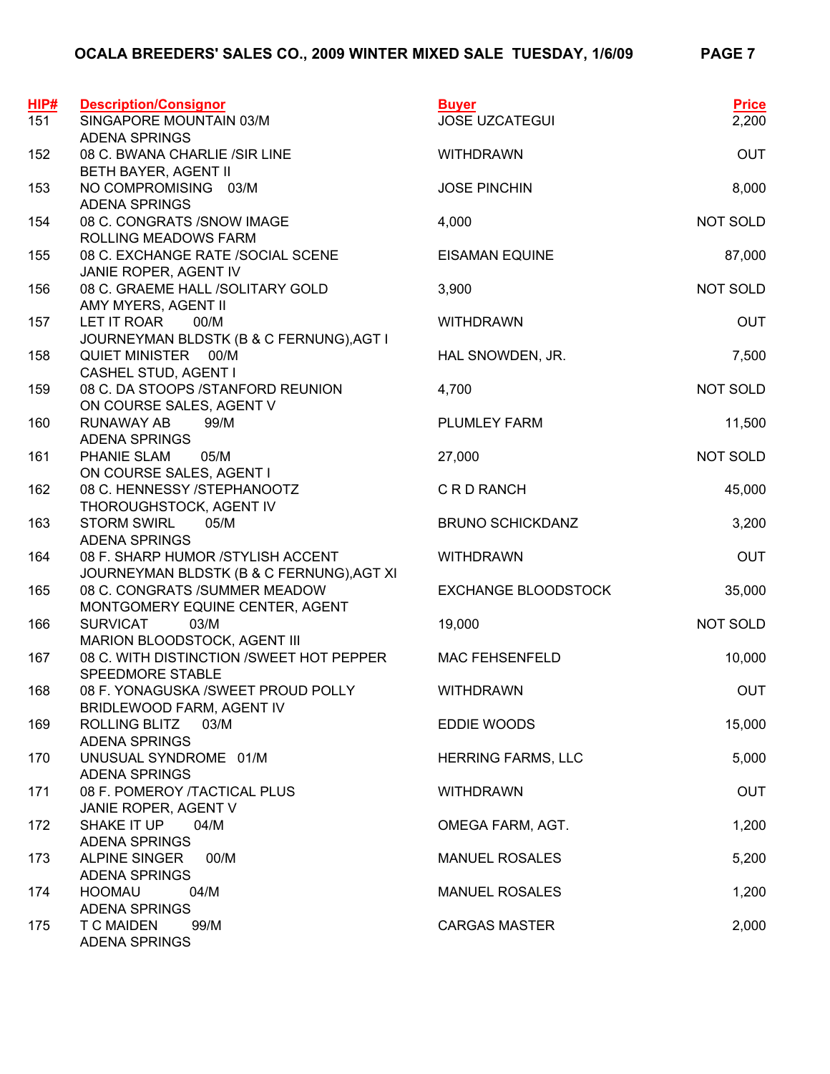| HIP# | <b>Description/Consignor</b>                                                    | <b>Buyer</b>               | <b>Price</b> |
|------|---------------------------------------------------------------------------------|----------------------------|--------------|
| 151  | SINGAPORE MOUNTAIN 03/M<br><b>ADENA SPRINGS</b>                                 | <b>JOSE UZCATEGUI</b>      | 2,200        |
| 152  | 08 C. BWANA CHARLIE /SIR LINE<br>BETH BAYER, AGENT II                           | <b>WITHDRAWN</b>           | <b>OUT</b>   |
| 153  | NO COMPROMISING 03/M<br><b>ADENA SPRINGS</b>                                    | <b>JOSE PINCHIN</b>        | 8,000        |
| 154  | 08 C. CONGRATS /SNOW IMAGE<br>ROLLING MEADOWS FARM                              | 4,000                      | NOT SOLD     |
| 155  | 08 C. EXCHANGE RATE /SOCIAL SCENE<br>JANIE ROPER, AGENT IV                      | <b>EISAMAN EQUINE</b>      | 87,000       |
| 156  | 08 C. GRAEME HALL /SOLITARY GOLD<br>AMY MYERS, AGENT II                         | 3,900                      | NOT SOLD     |
| 157  | LET IT ROAR<br>00/M<br>JOURNEYMAN BLDSTK (B & C FERNUNG), AGT I                 | <b>WITHDRAWN</b>           | <b>OUT</b>   |
| 158  | QUIET MINISTER 00/M<br>CASHEL STUD, AGENT I                                     | HAL SNOWDEN, JR.           | 7,500        |
| 159  | 08 C. DA STOOPS /STANFORD REUNION<br>ON COURSE SALES, AGENT V                   | 4,700                      | NOT SOLD     |
| 160  | <b>RUNAWAY AB</b><br>99/M<br><b>ADENA SPRINGS</b>                               | PLUMLEY FARM               | 11,500       |
| 161  | PHANIE SLAM<br>05/M<br>ON COURSE SALES, AGENT I                                 | 27,000                     | NOT SOLD     |
| 162  | 08 C. HENNESSY /STEPHANOOTZ<br>THOROUGHSTOCK, AGENT IV                          | C R D RANCH                | 45,000       |
| 163  | <b>STORM SWIRL</b><br>05/M<br><b>ADENA SPRINGS</b>                              | <b>BRUNO SCHICKDANZ</b>    | 3,200        |
| 164  | 08 F. SHARP HUMOR / STYLISH ACCENT<br>JOURNEYMAN BLDSTK (B & C FERNUNG), AGT XI | <b>WITHDRAWN</b>           | <b>OUT</b>   |
| 165  | 08 C. CONGRATS /SUMMER MEADOW<br>MONTGOMERY EQUINE CENTER, AGENT                | <b>EXCHANGE BLOODSTOCK</b> | 35,000       |
| 166  | <b>SURVICAT</b><br>03/M<br>MARION BLOODSTOCK, AGENT III                         | 19,000                     | NOT SOLD     |
| 167  | 08 C. WITH DISTINCTION /SWEET HOT PEPPER<br>SPEEDMORE STABLE                    | <b>MAC FEHSENFELD</b>      | 10,000       |
| 168  | 08 F. YONAGUSKA / SWEET PROUD POLLY                                             | <b>WITHDRAWN</b>           | <b>OUT</b>   |
| 169  | BRIDLEWOOD FARM, AGENT IV<br>ROLLING BLITZ<br>03/M<br><b>ADENA SPRINGS</b>      | EDDIE WOODS                | 15,000       |
| 170  | UNUSUAL SYNDROME 01/M<br><b>ADENA SPRINGS</b>                                   | <b>HERRING FARMS, LLC</b>  | 5,000        |
| 171  | 08 F. POMEROY /TACTICAL PLUS<br>JANIE ROPER, AGENT V                            | <b>WITHDRAWN</b>           | <b>OUT</b>   |
| 172  | SHAKE IT UP<br>04/M<br><b>ADENA SPRINGS</b>                                     | OMEGA FARM, AGT.           | 1,200        |
| 173  | ALPINE SINGER<br>00/M<br><b>ADENA SPRINGS</b>                                   | <b>MANUEL ROSALES</b>      | 5,200        |
| 174  | <b>HOOMAU</b><br>04/M<br><b>ADENA SPRINGS</b>                                   | <b>MANUEL ROSALES</b>      | 1,200        |
| 175  | <b>T C MAIDEN</b><br>99/M<br><b>ADENA SPRINGS</b>                               | <b>CARGAS MASTER</b>       | 2,000        |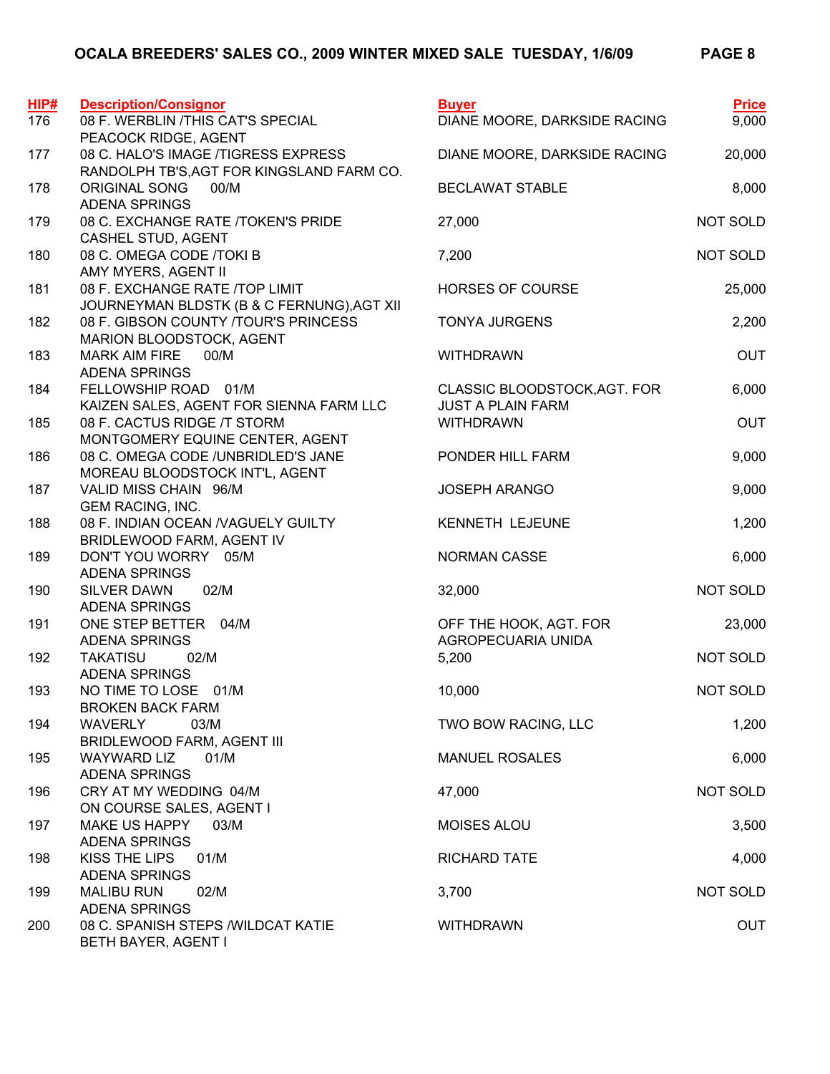| HIP# | <b>Description/Consignor</b>                                                       | <b>Buyer</b>                                             | <b>Price</b> |
|------|------------------------------------------------------------------------------------|----------------------------------------------------------|--------------|
| 176  | 08 F. WERBLIN /THIS CAT'S SPECIAL<br>PEACOCK RIDGE, AGENT                          | DIANE MOORE, DARKSIDE RACING                             | 9,000        |
| 177  | 08 C. HALO'S IMAGE /TIGRESS EXPRESS<br>RANDOLPH TB'S, AGT FOR KINGSLAND FARM CO.   | DIANE MOORE, DARKSIDE RACING                             | 20,000       |
| 178  | <b>ORIGINAL SONG</b><br>00/M<br><b>ADENA SPRINGS</b>                               | <b>BECLAWAT STABLE</b>                                   | 8,000        |
| 179  | 08 C. EXCHANGE RATE /TOKEN'S PRIDE<br>CASHEL STUD, AGENT                           | 27,000                                                   | NOT SOLD     |
| 180  | 08 C. OMEGA CODE /TOKI B<br>AMY MYERS, AGENT II                                    | 7,200                                                    | NOT SOLD     |
| 181  | 08 F. EXCHANGE RATE /TOP LIMIT<br>JOURNEYMAN BLDSTK (B & C FERNUNG), AGT XII       | HORSES OF COURSE                                         | 25,000       |
| 182  | 08 F. GIBSON COUNTY /TOUR'S PRINCESS<br>MARION BLOODSTOCK, AGENT                   | <b>TONYA JURGENS</b>                                     | 2,200        |
| 183  | <b>MARK AIM FIRE</b><br>00/M<br><b>ADENA SPRINGS</b>                               | <b>WITHDRAWN</b>                                         | <b>OUT</b>   |
| 184  | FELLOWSHIP ROAD 01/M<br>KAIZEN SALES, AGENT FOR SIENNA FARM LLC                    | CLASSIC BLOODSTOCK, AGT. FOR<br><b>JUST A PLAIN FARM</b> | 6,000        |
| 185  | 08 F. CACTUS RIDGE /T STORM<br>MONTGOMERY EQUINE CENTER, AGENT                     | <b>WITHDRAWN</b>                                         | <b>OUT</b>   |
| 186  | 08 C. OMEGA CODE /UNBRIDLED'S JANE<br>MOREAU BLOODSTOCK INT'L, AGENT               | PONDER HILL FARM                                         | 9,000        |
| 187  | VALID MISS CHAIN 96/M<br><b>GEM RACING, INC.</b>                                   | <b>JOSEPH ARANGO</b>                                     | 9,000        |
| 188  | 08 F. INDIAN OCEAN / VAGUELY GUILTY<br>BRIDLEWOOD FARM, AGENT IV                   | KENNETH LEJEUNE                                          | 1,200        |
| 189  | DON'T YOU WORRY 05/M<br><b>ADENA SPRINGS</b>                                       | <b>NORMAN CASSE</b>                                      | 6,000        |
| 190  | <b>SILVER DAWN</b><br>02/M<br><b>ADENA SPRINGS</b>                                 | 32,000                                                   | NOT SOLD     |
| 191  | ONE STEP BETTER 04/M<br><b>ADENA SPRINGS</b>                                       | OFF THE HOOK, AGT. FOR<br>AGROPECUARIA UNIDA             | 23,000       |
| 192  | <b>TAKATISU</b><br>02/M<br><b>ADENA SPRINGS</b>                                    | 5,200                                                    | NOT SOLD     |
| 193  | NO TIME TO LOSE 01/M<br><b>BROKEN BACK FARM</b>                                    | 10,000                                                   | NOT SOLD     |
| 194  | <b>WAVERLY</b><br>03/M<br>BRIDLEWOOD FARM, AGENT III                               | TWO BOW RACING, LLC                                      | 1,200        |
| 195  | <b>WAYWARD LIZ</b><br>01/M                                                         | <b>MANUEL ROSALES</b>                                    | 6,000        |
| 196  | <b>ADENA SPRINGS</b><br>CRY AT MY WEDDING 04/M                                     | 47,000                                                   | NOT SOLD     |
| 197  | ON COURSE SALES, AGENT I<br><b>MAKE US HAPPY</b><br>03/M                           | <b>MOISES ALOU</b>                                       | 3,500        |
| 198  | <b>ADENA SPRINGS</b><br><b>KISS THE LIPS</b><br>01/M                               | <b>RICHARD TATE</b>                                      | 4,000        |
| 199  | <b>ADENA SPRINGS</b><br><b>MALIBU RUN</b><br>02/M                                  | 3,700                                                    | NOT SOLD     |
| 200  | <b>ADENA SPRINGS</b><br>08 C. SPANISH STEPS / WILDCAT KATIE<br>BETH BAYER, AGENT I | <b>WITHDRAWN</b>                                         | <b>OUT</b>   |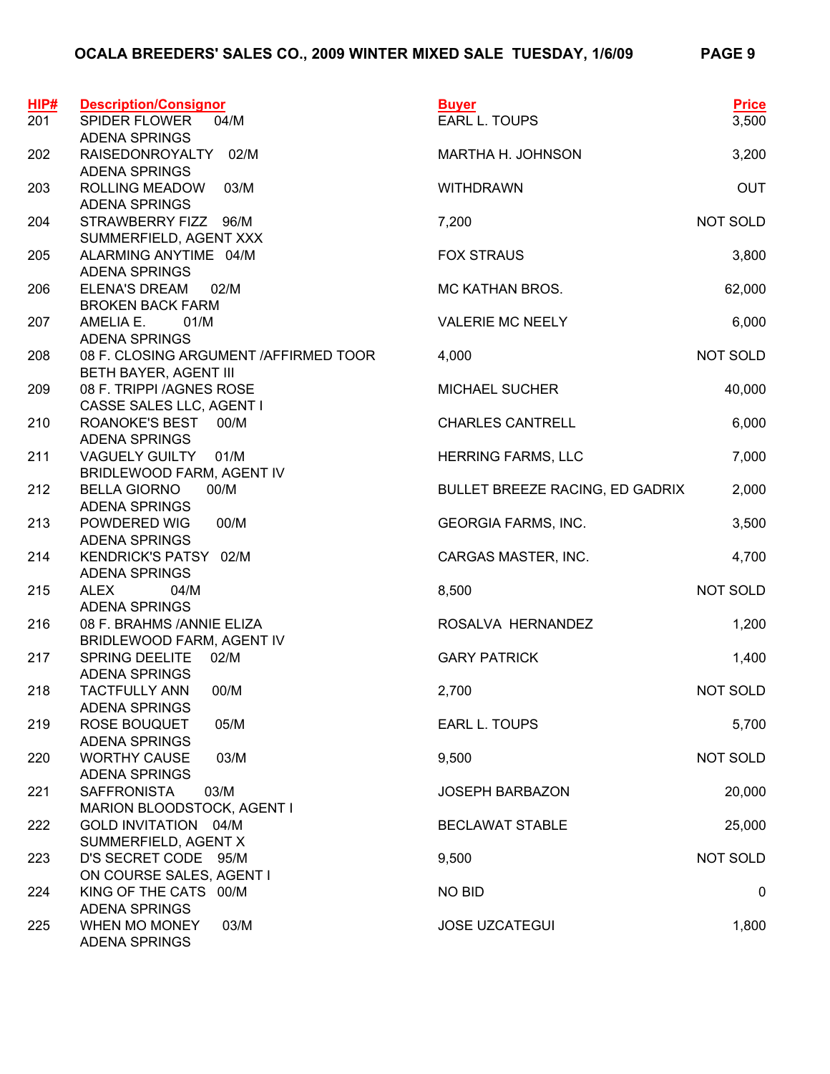| HIP#<br>201 | <b>Description/Consignor</b><br><b>SPIDER FLOWER</b><br>04/M                | <b>Buyer</b><br>EARL L. TOUPS   | <b>Price</b><br>3,500 |
|-------------|-----------------------------------------------------------------------------|---------------------------------|-----------------------|
|             | <b>ADENA SPRINGS</b>                                                        |                                 |                       |
| 202         | RAISEDONROYALTY<br>02/M<br><b>ADENA SPRINGS</b>                             | MARTHA H. JOHNSON               | 3,200                 |
| 203         | <b>ROLLING MEADOW</b><br>03/M<br><b>ADENA SPRINGS</b>                       | <b>WITHDRAWN</b>                | <b>OUT</b>            |
| 204         | STRAWBERRY FIZZ 96/M<br>SUMMERFIELD, AGENT XXX                              | 7,200                           | NOT SOLD              |
| 205         | ALARMING ANYTIME 04/M<br><b>ADENA SPRINGS</b>                               | <b>FOX STRAUS</b>               | 3,800                 |
| 206         | <b>ELENA'S DREAM</b><br>02/M<br><b>BROKEN BACK FARM</b>                     | MC KATHAN BROS.                 | 62,000                |
| 207         | AMELIA E.<br>01/M                                                           | <b>VALERIE MC NEELY</b>         | 6,000                 |
| 208         | <b>ADENA SPRINGS</b><br>08 F. CLOSING ARGUMENT / AFFIRMED TOOR              | 4,000                           | NOT SOLD              |
| 209         | BETH BAYER, AGENT III<br>08 F. TRIPPI /AGNES ROSE                           | <b>MICHAEL SUCHER</b>           | 40,000                |
| 210         | CASSE SALES LLC, AGENT I<br>ROANOKE'S BEST 00/M                             | <b>CHARLES CANTRELL</b>         | 6,000                 |
| 211         | <b>ADENA SPRINGS</b><br>VAGUELY GUILTY 01/M                                 | <b>HERRING FARMS, LLC</b>       | 7,000                 |
| 212         | BRIDLEWOOD FARM, AGENT IV<br><b>BELLA GIORNO</b><br>00/M                    | BULLET BREEZE RACING, ED GADRIX | 2,000                 |
| 213         | ADENA SPRINGS<br>POWDERED WIG<br>00/M                                       | <b>GEORGIA FARMS, INC.</b>      | 3,500                 |
| 214         | <b>ADENA SPRINGS</b><br>KENDRICK'S PATSY 02/M                               | CARGAS MASTER, INC.             | 4,700                 |
| 215         | <b>ADENA SPRINGS</b><br><b>ALEX</b><br>04/M                                 | 8,500                           | NOT SOLD              |
| 216         | <b>ADENA SPRINGS</b><br>08 F. BRAHMS / ANNIE ELIZA                          | ROSALVA HERNANDEZ               | 1,200                 |
| 217         | BRIDLEWOOD FARM, AGENT IV<br>SPRING DEELITE<br>02/M                         | <b>GARY PATRICK</b>             | 1,400                 |
| 218         | <b>ADENA SPRINGS</b><br>00/M<br><b>TACTFULLY ANN</b>                        | 2,700                           | NOT SOLD              |
| 219         | <b>ADENA SPRINGS</b><br>ROSE BOUQUET<br>05/M                                | <b>EARL L. TOUPS</b>            | 5,700                 |
| 220         | <b>ADENA SPRINGS</b><br><b>WORTHY CAUSE</b><br>03/M<br><b>ADENA SPRINGS</b> | 9,500                           | NOT SOLD              |
| 221         | <b>SAFFRONISTA</b><br>03/M<br>MARION BLOODSTOCK, AGENT I                    | <b>JOSEPH BARBAZON</b>          | 20,000                |
| 222         | GOLD INVITATION 04/M<br>SUMMERFIELD, AGENT X                                | <b>BECLAWAT STABLE</b>          | 25,000                |
| 223         | D'S SECRET CODE 95/M<br>ON COURSE SALES, AGENT I                            | 9,500                           | NOT SOLD              |
| 224         | KING OF THE CATS 00/M<br><b>ADENA SPRINGS</b>                               | <b>NO BID</b>                   | 0                     |
| 225         | WHEN MO MONEY<br>03/M<br><b>ADENA SPRINGS</b>                               | <b>JOSE UZCATEGUI</b>           | 1,800                 |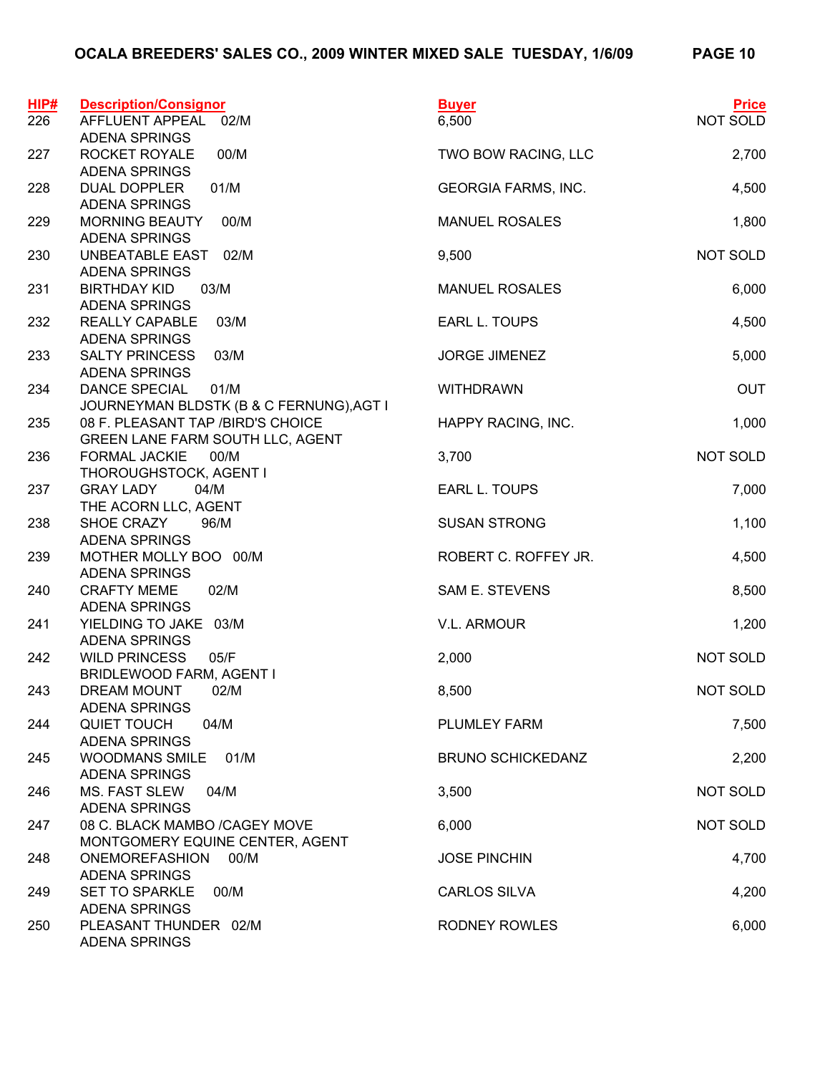| HIP#<br>226 | <b>Description/Consignor</b><br>AFFLUENT APPEAL<br>02/M                  | <b>Buyer</b><br>6,500      | <b>Price</b><br>NOT SOLD |
|-------------|--------------------------------------------------------------------------|----------------------------|--------------------------|
| 227         | <b>ADENA SPRINGS</b><br>ROCKET ROYALE<br>00/M                            | TWO BOW RACING, LLC        | 2,700                    |
|             | ADENA SPRINGS                                                            |                            |                          |
| 228         | <b>DUAL DOPPLER</b><br>01/M<br><b>ADENA SPRINGS</b>                      | <b>GEORGIA FARMS, INC.</b> | 4,500                    |
| 229         | <b>MORNING BEAUTY</b><br>00/M<br><b>ADENA SPRINGS</b>                    | <b>MANUEL ROSALES</b>      | 1,800                    |
| 230         | UNBEATABLE EAST<br>02/M<br><b>ADENA SPRINGS</b>                          | 9,500                      | NOT SOLD                 |
| 231         | 03/M<br><b>BIRTHDAY KID</b><br><b>ADENA SPRINGS</b>                      | <b>MANUEL ROSALES</b>      | 6,000                    |
| 232         | <b>REALLY CAPABLE</b><br>03/M<br><b>ADENA SPRINGS</b>                    | EARL L. TOUPS              | 4,500                    |
| 233         | <b>SALTY PRINCESS</b><br>03/M<br><b>ADENA SPRINGS</b>                    | <b>JORGE JIMENEZ</b>       | 5,000                    |
| 234         | 01/M<br><b>DANCE SPECIAL</b><br>JOURNEYMAN BLDSTK (B & C FERNUNG), AGT I | <b>WITHDRAWN</b>           | <b>OUT</b>               |
| 235         | 08 F. PLEASANT TAP /BIRD'S CHOICE<br>GREEN LANE FARM SOUTH LLC, AGENT    | HAPPY RACING, INC.         | 1,000                    |
| 236         | <b>FORMAL JACKIE</b><br>00/M<br>THOROUGHSTOCK, AGENT I                   | 3,700                      | NOT SOLD                 |
| 237         | <b>GRAY LADY</b><br>04/M<br>THE ACORN LLC, AGENT                         | EARL L. TOUPS              | 7,000                    |
| 238         | SHOE CRAZY<br>96/M<br><b>ADENA SPRINGS</b>                               | <b>SUSAN STRONG</b>        | 1,100                    |
| 239         | MOTHER MOLLY BOO 00/M<br><b>ADENA SPRINGS</b>                            | ROBERT C. ROFFEY JR.       | 4,500                    |
| 240         | 02/M<br><b>CRAFTY MEME</b><br><b>ADENA SPRINGS</b>                       | SAM E. STEVENS             | 8,500                    |
| 241         | YIELDING TO JAKE 03/M<br><b>ADENA SPRINGS</b>                            | V.L. ARMOUR                | 1,200                    |
| 242         | 05/F<br><b>WILD PRINCESS</b><br>BRIDLEWOOD FARM, AGENT I                 | 2,000                      | NOT SOLD                 |
| 243         | DREAM MOUNT<br>02/M<br><b>ADENA SPRINGS</b>                              | 8,500                      | NOT SOLD                 |
| 244         | QUIET TOUCH<br>04/M<br><b>ADENA SPRINGS</b>                              | <b>PLUMLEY FARM</b>        | 7,500                    |
| 245         | <b>WOODMANS SMILE</b><br>01/M<br><b>ADENA SPRINGS</b>                    | <b>BRUNO SCHICKEDANZ</b>   | 2,200                    |
| 246         | <b>MS. FAST SLEW</b><br>04/M<br><b>ADENA SPRINGS</b>                     | 3,500                      | NOT SOLD                 |
| 247         | 08 C. BLACK MAMBO /CAGEY MOVE<br>MONTGOMERY EQUINE CENTER, AGENT         | 6,000                      | NOT SOLD                 |
| 248         | <b>ONEMOREFASHION</b><br>00/M<br><b>ADENA SPRINGS</b>                    | <b>JOSE PINCHIN</b>        | 4,700                    |
| 249         | <b>SET TO SPARKLE</b><br>00/M<br><b>ADENA SPRINGS</b>                    | <b>CARLOS SILVA</b>        | 4,200                    |
| 250         | PLEASANT THUNDER 02/M<br><b>ADENA SPRINGS</b>                            | <b>RODNEY ROWLES</b>       | 6,000                    |